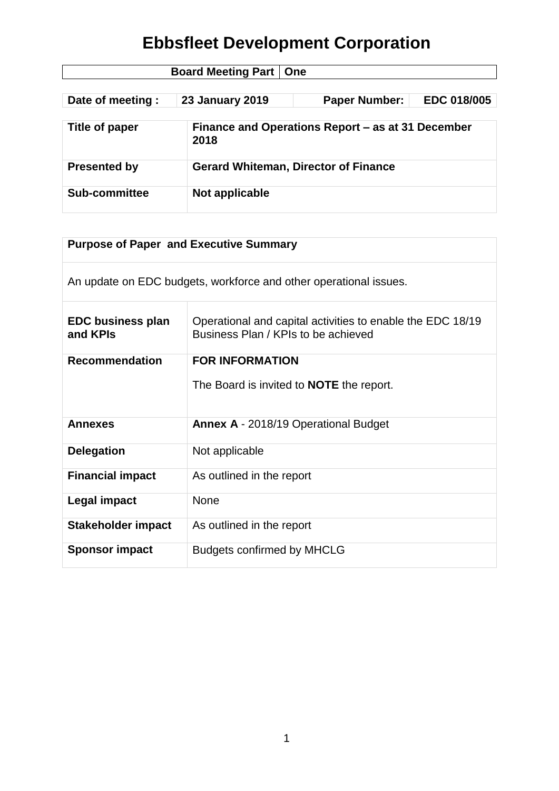| <b>Board Meeting Part   One</b> |                                             |                                                   |             |  |
|---------------------------------|---------------------------------------------|---------------------------------------------------|-------------|--|
| Date of meeting :               | <b>23 January 2019</b>                      | <b>Paper Number:</b>                              | EDC 018/005 |  |
| Title of paper                  | 2018                                        | Finance and Operations Report - as at 31 December |             |  |
| <b>Presented by</b>             | <b>Gerard Whiteman, Director of Finance</b> |                                                   |             |  |
| <b>Sub-committee</b>            | Not applicable                              |                                                   |             |  |

| <b>Purpose of Paper and Executive Summary</b> |                                                                                                   |  |
|-----------------------------------------------|---------------------------------------------------------------------------------------------------|--|
|                                               | An update on EDC budgets, workforce and other operational issues.                                 |  |
| <b>EDC business plan</b><br>and KPIs          | Operational and capital activities to enable the EDC 18/19<br>Business Plan / KPIs to be achieved |  |
| <b>Recommendation</b>                         | <b>FOR INFORMATION</b><br>The Board is invited to <b>NOTE</b> the report.                         |  |
| <b>Annexes</b>                                | <b>Annex A - 2018/19 Operational Budget</b>                                                       |  |
| <b>Delegation</b>                             | Not applicable                                                                                    |  |
| <b>Financial impact</b>                       | As outlined in the report                                                                         |  |
| Legal impact                                  | <b>None</b>                                                                                       |  |
| Stakeholder impact                            | As outlined in the report                                                                         |  |
| <b>Sponsor impact</b>                         | <b>Budgets confirmed by MHCLG</b>                                                                 |  |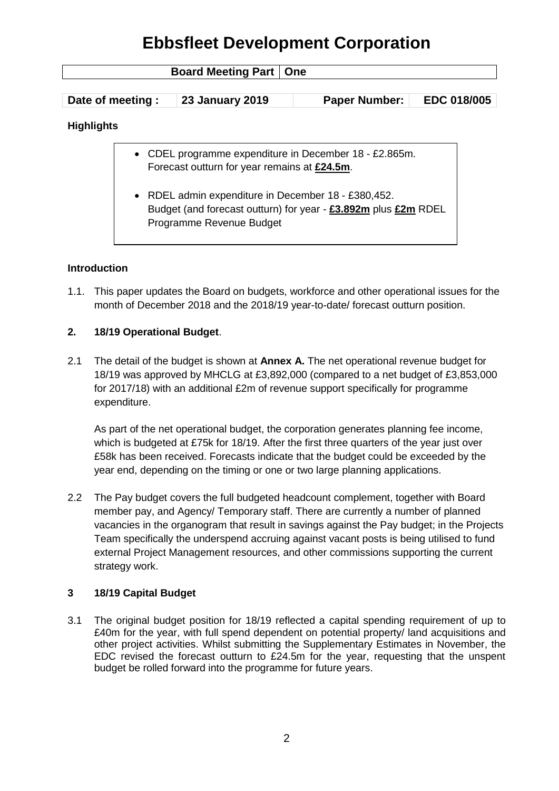| <b>Board Meeting Part</b><br><b>One</b>                                                                                                                                                                                                                              |                        |                      |                    |  |
|----------------------------------------------------------------------------------------------------------------------------------------------------------------------------------------------------------------------------------------------------------------------|------------------------|----------------------|--------------------|--|
| Date of meeting :                                                                                                                                                                                                                                                    | <b>23 January 2019</b> | <b>Paper Number:</b> | <b>EDC 018/005</b> |  |
| <b>Highlights</b>                                                                                                                                                                                                                                                    |                        |                      |                    |  |
| CDEL programme expenditure in December 18 - £2.865m.<br>Forecast outturn for year remains at £24.5m.<br>RDEL admin expenditure in December 18 - £380,452.<br>$\bullet$<br>Budget (and forecast outturn) for year - £3.892m plus £2m RDEL<br>Programme Revenue Budget |                        |                      |                    |  |

#### **Introduction**

1.1. This paper updates the Board on budgets, workforce and other operational issues for the month of December 2018 and the 2018/19 year-to-date/ forecast outturn position.

#### **2. 18/19 Operational Budget**.

2.1 The detail of the budget is shown at **Annex A.** The net operational revenue budget for 18/19 was approved by MHCLG at £3,892,000 (compared to a net budget of £3,853,000 for 2017/18) with an additional £2m of revenue support specifically for programme expenditure.

As part of the net operational budget, the corporation generates planning fee income, which is budgeted at £75k for 18/19. After the first three quarters of the year just over £58k has been received. Forecasts indicate that the budget could be exceeded by the year end, depending on the timing or one or two large planning applications.

2.2 The Pay budget covers the full budgeted headcount complement, together with Board member pay, and Agency/ Temporary staff. There are currently a number of planned vacancies in the organogram that result in savings against the Pay budget; in the Projects Team specifically the underspend accruing against vacant posts is being utilised to fund external Project Management resources, and other commissions supporting the current strategy work.

#### **3 18/19 Capital Budget**

3.1 The original budget position for 18/19 reflected a capital spending requirement of up to £40m for the year, with full spend dependent on potential property/ land acquisitions and other project activities. Whilst submitting the Supplementary Estimates in November, the EDC revised the forecast outturn to £24.5m for the year, requesting that the unspent budget be rolled forward into the programme for future years.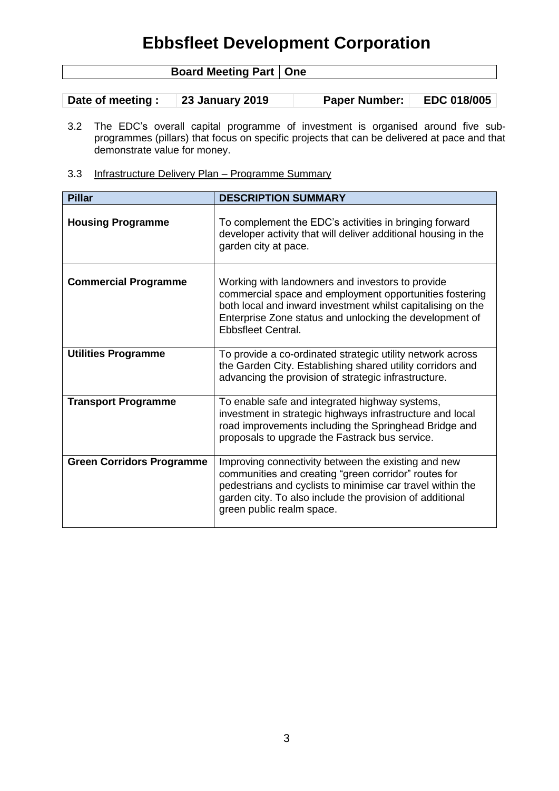| <b>Board Meeting Part   One</b> |  |
|---------------------------------|--|
|                                 |  |

| Date of meeting : | <b>23 January 2019</b> | <b>Paper Number:</b> | EDC 018/005 |
|-------------------|------------------------|----------------------|-------------|
|-------------------|------------------------|----------------------|-------------|

- 3.2 The EDC's overall capital programme of investment is organised around five subprogrammes (pillars) that focus on specific projects that can be delivered at pace and that demonstrate value for money.
- 3.3 Infrastructure Delivery Plan Programme Summary

| <b>Pillar</b>                    | <b>DESCRIPTION SUMMARY</b>                                                                                                                                                                                                                                         |
|----------------------------------|--------------------------------------------------------------------------------------------------------------------------------------------------------------------------------------------------------------------------------------------------------------------|
| <b>Housing Programme</b>         | To complement the EDC's activities in bringing forward<br>developer activity that will deliver additional housing in the<br>garden city at pace.                                                                                                                   |
| <b>Commercial Programme</b>      | Working with landowners and investors to provide<br>commercial space and employment opportunities fostering<br>both local and inward investment whilst capitalising on the<br>Enterprise Zone status and unlocking the development of<br>Ebbsfleet Central.        |
| <b>Utilities Programme</b>       | To provide a co-ordinated strategic utility network across<br>the Garden City. Establishing shared utility corridors and<br>advancing the provision of strategic infrastructure.                                                                                   |
| <b>Transport Programme</b>       | To enable safe and integrated highway systems,<br>investment in strategic highways infrastructure and local<br>road improvements including the Springhead Bridge and<br>proposals to upgrade the Fastrack bus service.                                             |
| <b>Green Corridors Programme</b> | Improving connectivity between the existing and new<br>communities and creating "green corridor" routes for<br>pedestrians and cyclists to minimise car travel within the<br>garden city. To also include the provision of additional<br>green public realm space. |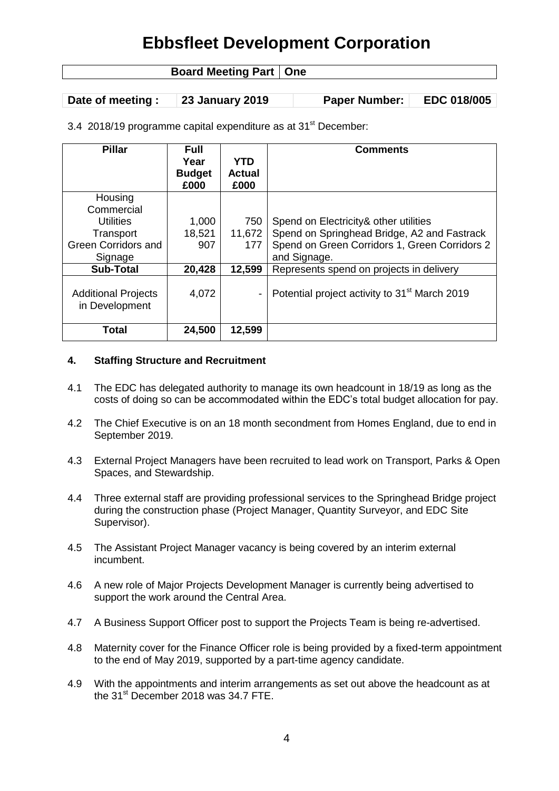### **Board Meeting Part | One**

**Date of meeting : 23 January 2019 Paper Number: EDC 018/005**

3.4 2018/19 programme capital expenditure as at 31<sup>st</sup> December:

| <b>Pillar</b>                                | <b>Full</b><br>Year<br><b>Budget</b> | <b>YTD</b><br><b>Actual</b> | <b>Comments</b>                                           |
|----------------------------------------------|--------------------------------------|-----------------------------|-----------------------------------------------------------|
|                                              | £000                                 | £000                        |                                                           |
| Housing                                      |                                      |                             |                                                           |
| Commercial                                   |                                      |                             |                                                           |
| <b>Utilities</b>                             | 1,000                                | 750                         | Spend on Electricity & other utilities                    |
| Transport                                    | 18,521                               | 11,672                      | Spend on Springhead Bridge, A2 and Fastrack               |
| <b>Green Corridors and</b>                   | 907                                  | 177                         | Spend on Green Corridors 1, Green Corridors 2             |
| Signage                                      |                                      |                             | and Signage.                                              |
| <b>Sub-Total</b>                             | 20,428                               | 12,599                      | Represents spend on projects in delivery                  |
| <b>Additional Projects</b><br>in Development | 4,072                                |                             | Potential project activity to 31 <sup>st</sup> March 2019 |
| <b>Total</b>                                 | 24,500                               | 12,599                      |                                                           |

#### **4. Staffing Structure and Recruitment**

- 4.1 The EDC has delegated authority to manage its own headcount in 18/19 as long as the costs of doing so can be accommodated within the EDC's total budget allocation for pay.
- 4.2 The Chief Executive is on an 18 month secondment from Homes England, due to end in September 2019.
- 4.3 External Project Managers have been recruited to lead work on Transport, Parks & Open Spaces, and Stewardship.
- 4.4 Three external staff are providing professional services to the Springhead Bridge project during the construction phase (Project Manager, Quantity Surveyor, and EDC Site Supervisor).
- 4.5 The Assistant Project Manager vacancy is being covered by an interim external incumbent.
- 4.6 A new role of Major Projects Development Manager is currently being advertised to support the work around the Central Area.
- 4.7 A Business Support Officer post to support the Projects Team is being re-advertised.
- 4.8 Maternity cover for the Finance Officer role is being provided by a fixed-term appointment to the end of May 2019, supported by a part-time agency candidate.
- 4.9 With the appointments and interim arrangements as set out above the headcount as at the 31<sup>st</sup> December 2018 was 34.7 FTE.